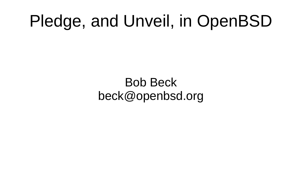#### Pledge, and Unveil, in OpenBSD

Bob Beck beck@openbsd.org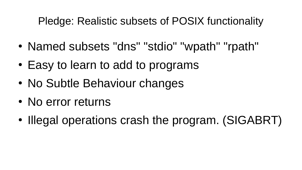#### Pledge: Realistic subsets of POSIX functionality

- Named subsets "dns" "stdio" "wpath" "rpath"
- Easy to learn to add to programs
- No Subtle Behaviour changes
- No error returns
- Illegal operations crash the program. (SIGABRT)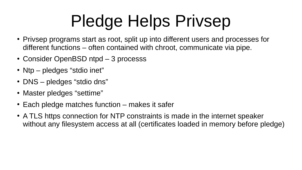## Pledge Helps Privsep

- Privsep programs start as root, split up into different users and processes for different functions – often contained with chroot, communicate via pipe.
- Consider OpenBSD ntpd 3 processs
- Ntp pledges "stdio inet"
- DNS pledges "stdio dns"
- Master pledges "settime"
- $\cdot$  Each pledge matches function makes it safer
- A TLS https connection for NTP constraints is made in the internet speaker without any filesystem access at all (certificates loaded in memory before pledge)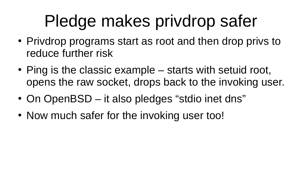### Pledge makes privdrop safer

- Privdrop programs start as root and then drop privs to reduce further risk
- $\bullet$  Ping is the classic example  $-$  starts with setuid root, opens the raw socket, drops back to the invoking user.
- On OpenBSD it also pledges "stdio inet dns"
- Now much safer for the invoking user too!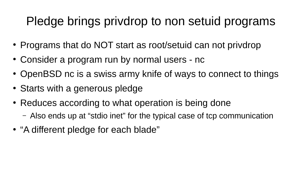#### Pledge brings privdrop to non setuid programs

- Programs that do NOT start as root/setuid can not privdrop
- Consider a program run by normal users nc
- OpenBSD nc is a swiss army knife of ways to connect to things
- Starts with a generous pledge
- Reduces according to what operation is being done
	- Also ends up at "stdio inet" for the typical case of tcp communication
- "A different pledge for each blade"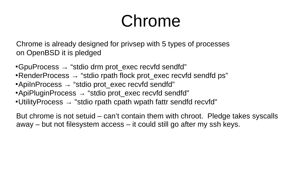#### Chrome

Chrome is already designed for privsep with 5 types of processes on OpenBSD it is pledged

•GpuProcess  $\rightarrow$  "stdio drm prot exec recvfd sendfd"

- RenderProcess  $\rightarrow$  "stdio rpath flock prot exec recvfd sendfd ps"
- •ApiInProcess  $\rightarrow$  "stdio prot exec recvfd sendfd"
- •ApiPluginProcess  $\rightarrow$  "stdio prot exec recvfd sendfd"
- Utility Process  $\rightarrow$  "stdio rpath cpath wpath fattr sendfd recvfd"

But chrome is not setuid – can't contain them with chroot. Pledge takes syscalls away – but not filesystem access – it could still go after my ssh keys.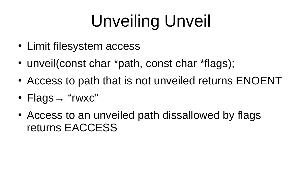# Unveiling Unveil

- Limit filesystem access
- unveil(const char \*path, const char \*flags);
- Access to path that is not unveiled returns ENOENT
- Flags  $\rightarrow$  "rwxc"
- Access to an unveiled path dissallowed by flags returns EACCESS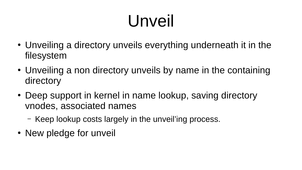## Unveil

- Unveiling a directory unveils everything underneath it in the filesystem
- Unveiling a non directory unveils by name in the containing directory
- Deep support in kernel in name lookup, saving directory vnodes, associated names
	- Keep lookup costs largely in the unveil'ing process.
- New pledge for unveil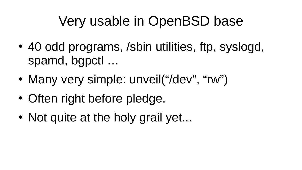#### Very usable in OpenBSD base

- 40 odd programs, /sbin utilities, ftp, syslogd, spamd, bgpctl …
- Many very simple: unveil("/dev", "rw")
- Often right before pledge.
- Not quite at the holy grail yet...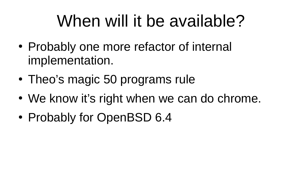### When will it be available?

- Probably one more refactor of internal implementation.
- Theo's magic 50 programs rule
- We know it's right when we can do chrome.
- Probably for OpenBSD 6.4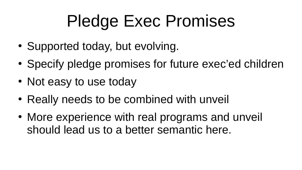### Pledge Exec Promises

- Supported today, but evolving.
- Specify pledge promises for future exec'ed children
- Not easy to use today
- Really needs to be combined with unveil
- More experience with real programs and unveil should lead us to a better semantic here.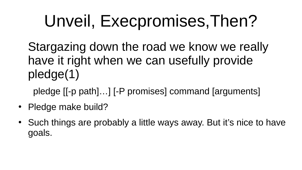### Unveil, Execpromises,Then?

Stargazing down the road we know we really have it right when we can usefully provide pledge(1)

pledge [[-p path]…] [-P promises] command [arguments]

- Pledge make build?
- Such things are probably a little ways away. But it's nice to have goals.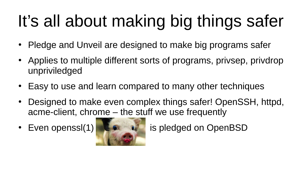# It's all about making big things safer

- Pledge and Unveil are designed to make big programs safer
- Applies to multiple different sorts of programs, privsep, privdrop unpriviledged
- Easy to use and learn compared to many other techniques
- Designed to make even complex things safer! OpenSSH, httpd, acme-client, chrome – the stuff we use frequently
- 



• Even openssl(1) **is pledged on OpenBSD**